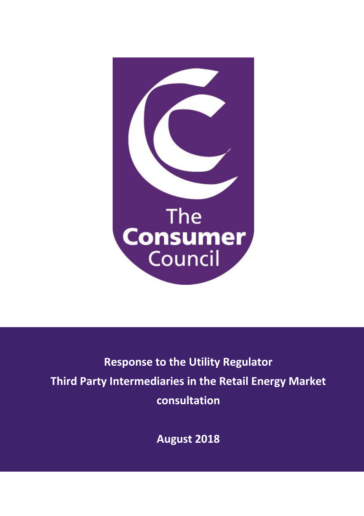

# **Response to the Utility Regulator Third Party Intermediaries in the Retail Energy Market consultation**

**August 2018**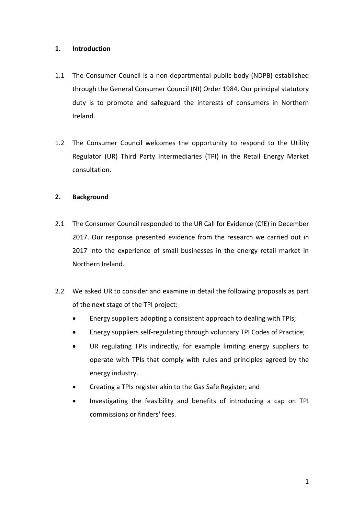## **1. Introduction**

- 1.1 The Consumer Council is a non-departmental public body (NDPB) established through the General Consumer Council (NI) Order 1984. Our principal statutory duty is to promote and safeguard the interests of consumers in Northern Ireland.
- 1.2 The Consumer Council welcomes the opportunity to respond to the Utility Regulator (UR) Third Party Intermediaries (TPI) in the Retail Energy Market consultation.

## **2. Background**

- 2.1 The Consumer Council responded to the UR Call for Evidence (CfE) in December 2017. Our response presented evidence from the research we carried out in 2017 into the experience of small businesses in the energy retail market in Northern Ireland.
- 2.2 We asked UR to consider and examine in detail the following proposals as part of the next stage of the TPI project:
	- Energy suppliers adopting a consistent approach to dealing with TPIs;
	- Energy suppliers self-regulating through voluntary TPI Codes of Practice;
	- UR regulating TPIs indirectly, for example limiting energy suppliers to operate with TPIs that comply with rules and principles agreed by the energy industry.
	- Creating a TPIs register akin to the Gas Safe Register; and
	- Investigating the feasibility and benefits of introducing a cap on TPI commissions or finders' fees.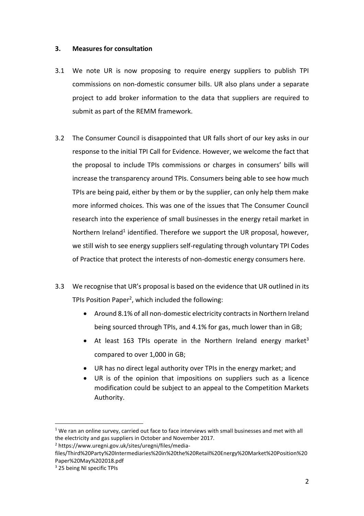#### **3. Measures for consultation**

- 3.1 We note UR is now proposing to require energy suppliers to publish TPI commissions on non-domestic consumer bills. UR also plans under a separate project to add broker information to the data that suppliers are required to submit as part of the REMM framework.
- 3.2 The Consumer Council is disappointed that UR falls short of our key asks in our response to the initial TPI Call for Evidence. However, we welcome the fact that the proposal to include TPIs commissions or charges in consumers' bills will increase the transparency around TPIs. Consumers being able to see how much TPIs are being paid, either by them or by the supplier, can only help them make more informed choices. This was one of the issues that The Consumer Council research into the experience of small businesses in the energy retail market in Northern Ireland<sup>1</sup> identified. Therefore we support the UR proposal, however, we still wish to see energy suppliers self-regulating through voluntary TPI Codes of Practice that protect the interests of non-domestic energy consumers here.
- 3.3 We recognise that UR's proposal is based on the evidence that UR outlined in its TPIs Position Paper<sup>2</sup>, which included the following:
	- Around 8.1% of all non-domestic electricity contracts in Northern Ireland being sourced through TPIs, and 4.1% for gas, much lower than in GB;
	- At least 163 TPIs operate in the Northern Ireland energy market<sup>3</sup> compared to over 1,000 in GB;
	- UR has no direct legal authority over TPIs in the energy market; and
	- UR is of the opinion that impositions on suppliers such as a licence modification could be subject to an appeal to the Competition Markets Authority.

 $\overline{a}$ 

 $1$  We ran an online survey, carried out face to face interviews with small businesses and met with all the electricity and gas suppliers in October and November 2017.

<sup>2</sup> https://www.uregni.gov.uk/sites/uregni/files/media-

files/Third%20Party%20Intermediaries%20in%20the%20Retail%20Energy%20Market%20Position%20 Paper%20May%202018.pdf

<sup>3</sup> 25 being NI specific TPIs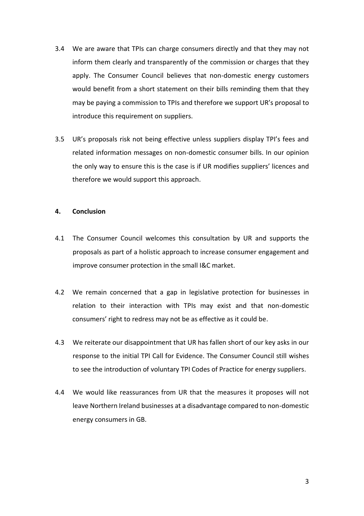- 3.4 We are aware that TPIs can charge consumers directly and that they may not inform them clearly and transparently of the commission or charges that they apply. The Consumer Council believes that non-domestic energy customers would benefit from a short statement on their bills reminding them that they may be paying a commission to TPIs and therefore we support UR's proposal to introduce this requirement on suppliers.
- 3.5 UR's proposals risk not being effective unless suppliers display TPI's fees and related information messages on non-domestic consumer bills. In our opinion the only way to ensure this is the case is if UR modifies suppliers' licences and therefore we would support this approach.

#### **4. Conclusion**

- 4.1 The Consumer Council welcomes this consultation by UR and supports the proposals as part of a holistic approach to increase consumer engagement and improve consumer protection in the small I&C market.
- 4.2 We remain concerned that a gap in legislative protection for businesses in relation to their interaction with TPIs may exist and that non-domestic consumers' right to redress may not be as effective as it could be.
- 4.3 We reiterate our disappointment that UR has fallen short of our key asks in our response to the initial TPI Call for Evidence. The Consumer Council still wishes to see the introduction of voluntary TPI Codes of Practice for energy suppliers.
- 4.4 We would like reassurances from UR that the measures it proposes will not leave Northern Ireland businesses at a disadvantage compared to non-domestic energy consumers in GB.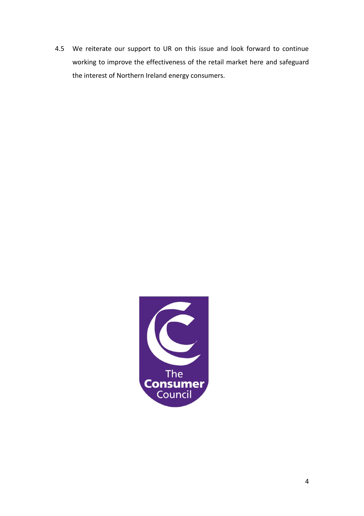4.5 We reiterate our support to UR on this issue and look forward to continue working to improve the effectiveness of the retail market here and safeguard the interest of Northern Ireland energy consumers.